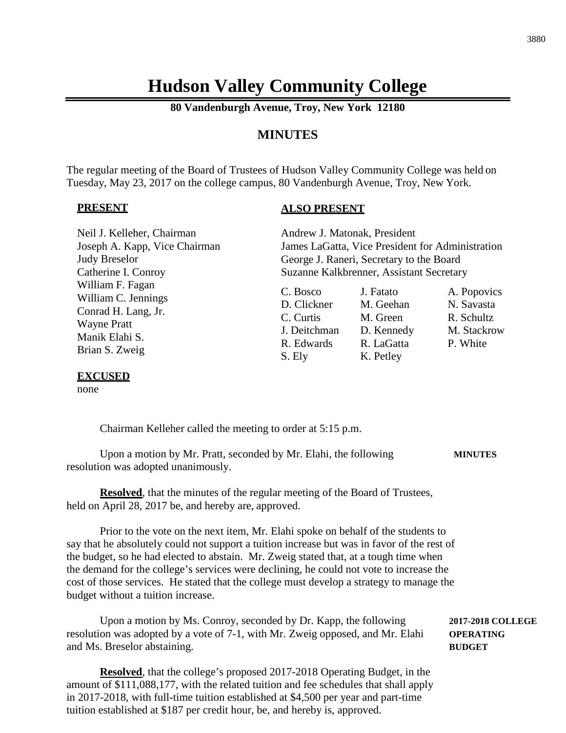# **Hudson Valley Community College**

**80 Vandenburgh Avenue, Troy, New York 12180**

# **MINUTES**

The regular meeting of the Board of Trustees of Hudson Valley Community College was held on Tuesday, May 23, 2017 on the college campus, 80 Vandenburgh Avenue, Troy, New York.

#### **PRESENT**

#### **ALSO PRESENT**

| Neil J. Kelleher, Chairman                                                                                               | Andrew J. Matonak, President                                                 |                                                                             |                                                                    |
|--------------------------------------------------------------------------------------------------------------------------|------------------------------------------------------------------------------|-----------------------------------------------------------------------------|--------------------------------------------------------------------|
| Joseph A. Kapp, Vice Chairman                                                                                            |                                                                              | James LaGatta, Vice President for Administration                            |                                                                    |
| <b>Judy Breselor</b>                                                                                                     |                                                                              | George J. Raneri, Secretary to the Board                                    |                                                                    |
| Catherine I. Conroy                                                                                                      |                                                                              | Suzanne Kalkbrenner, Assistant Secretary                                    |                                                                    |
| William F. Fagan<br>William C. Jennings<br>Conrad H. Lang, Jr.<br><b>Wayne Pratt</b><br>Manik Elahi S.<br>Brian S. Zweig | C. Bosco<br>D. Clickner<br>C. Curtis<br>J. Deitchman<br>R. Edwards<br>S. Ely | J. Fatato<br>M. Geehan<br>M. Green<br>D. Kennedy<br>R. LaGatta<br>K. Petley | A. Popovics<br>N. Savasta<br>R. Schultz<br>M. Stackrow<br>P. White |

#### **EXCUSED**

none

Chairman Kelleher called the meeting to order at 5:15 p.m.

Upon a motion by Mr. Pratt, seconded by Mr. Elahi, the following **MINUTES** resolution was adopted unanimously.

**Resolved**, that the minutes of the regular meeting of the Board of Trustees, held on April 28, 2017 be, and hereby are, approved.

Prior to the vote on the next item, Mr. Elahi spoke on behalf of the students to say that he absolutely could not support a tuition increase but was in favor of the rest of the budget, so he had elected to abstain. Mr. Zweig stated that, at a tough time when the demand for the college's services were declining, he could not vote to increase the cost of those services. He stated that the college must develop a strategy to manage the budget without a tuition increase.

Upon a motion by Ms. Conroy, seconded by Dr. Kapp, the following **2017-2018 COLLEGE** resolution was adopted by a vote of 7-1, with Mr. Zweig opposed, and Mr. Elahi **OPERATING** and Ms. Breselor abstaining. **BUDGET**

**Resolved**, that the college's proposed 2017-2018 Operating Budget, in the amount of \$111,088,177, with the related tuition and fee schedules that shall apply in 2017-2018, with full-time tuition established at \$4,500 per year and part-time tuition established at \$187 per credit hour, be, and hereby is, approved.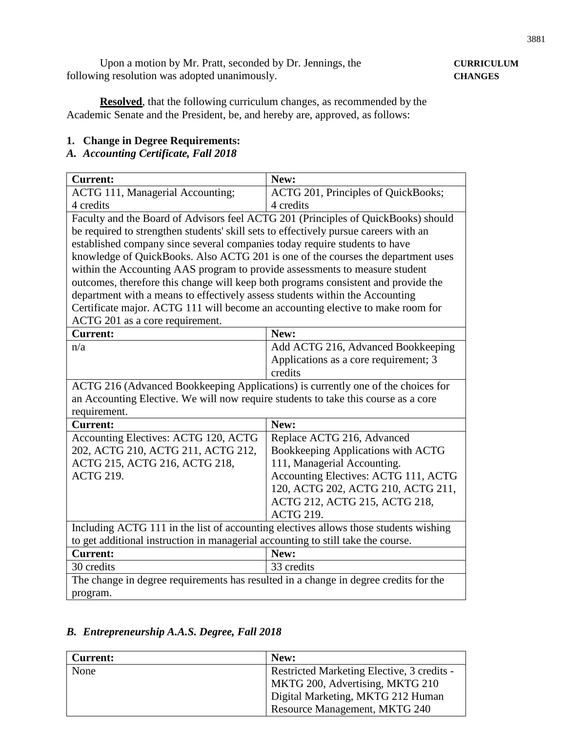Upon a motion by Mr. Pratt, seconded by Dr. Jennings, the **CURRICULUM** following resolution was adopted unanimously. **CHANGES** 

**Resolved**, that the following curriculum changes, as recommended by the Academic Senate and the President, be, and hereby are, approved, as follows:

#### **1. Change in Degree Requirements:**

### *A. Accounting Certificate, Fall 2018*

| <b>Current:</b>                                                                      | New:                                  |  |
|--------------------------------------------------------------------------------------|---------------------------------------|--|
| <b>ACTG 111, Managerial Accounting;</b>                                              | ACTG 201, Principles of QuickBooks;   |  |
| 4 credits                                                                            | 4 credits                             |  |
| Faculty and the Board of Advisors feel ACTG 201 (Principles of QuickBooks) should    |                                       |  |
| be required to strengthen students' skill sets to effectively pursue careers with an |                                       |  |
| established company since several companies today require students to have           |                                       |  |
| knowledge of QuickBooks. Also ACTG 201 is one of the courses the department uses     |                                       |  |
| within the Accounting AAS program to provide assessments to measure student          |                                       |  |
| outcomes, therefore this change will keep both programs consistent and provide the   |                                       |  |
| department with a means to effectively assess students within the Accounting         |                                       |  |
| Certificate major. ACTG 111 will become an accounting elective to make room for      |                                       |  |
| ACTG 201 as a core requirement.                                                      |                                       |  |
| <b>Current:</b>                                                                      | New:                                  |  |
| n/a                                                                                  | Add ACTG 216, Advanced Bookkeeping    |  |
|                                                                                      | Applications as a core requirement; 3 |  |
|                                                                                      | credits                               |  |
| ACTG 216 (Advanced Bookkeeping Applications) is currently one of the choices for     |                                       |  |
| an Accounting Elective. We will now require students to take this course as a core   |                                       |  |
| requirement.                                                                         |                                       |  |
| <b>Current:</b>                                                                      | New:                                  |  |
| Accounting Electives: ACTG 120, ACTG                                                 | Replace ACTG 216, Advanced            |  |
| 202, ACTG 210, ACTG 211, ACTG 212,                                                   | Bookkeeping Applications with ACTG    |  |
| ACTG 215, ACTG 216, ACTG 218,                                                        | 111, Managerial Accounting.           |  |
| <b>ACTG 219.</b>                                                                     | Accounting Electives: ACTG 111, ACTG  |  |
|                                                                                      | 120, ACTG 202, ACTG 210, ACTG 211,    |  |
|                                                                                      | ACTG 212, ACTG 215, ACTG 218,         |  |
|                                                                                      | <b>ACTG 219.</b>                      |  |
| Including ACTG 111 in the list of accounting electives allows those students wishing |                                       |  |
| to get additional instruction in managerial accounting to still take the course.     |                                       |  |
| <b>Current:</b>                                                                      | New:                                  |  |
| 30 credits                                                                           | 33 credits                            |  |
| The change in degree requirements has resulted in a change in degree credits for the |                                       |  |
| program.                                                                             |                                       |  |

## *B. Entrepreneurship A.A.S. Degree, Fall 2018*

| <b>Current:</b> | New:                                       |
|-----------------|--------------------------------------------|
| None            | Restricted Marketing Elective, 3 credits - |
|                 | MKTG 200, Advertising, MKTG 210            |
|                 | Digital Marketing, MKTG 212 Human          |
|                 | Resource Management, MKTG 240              |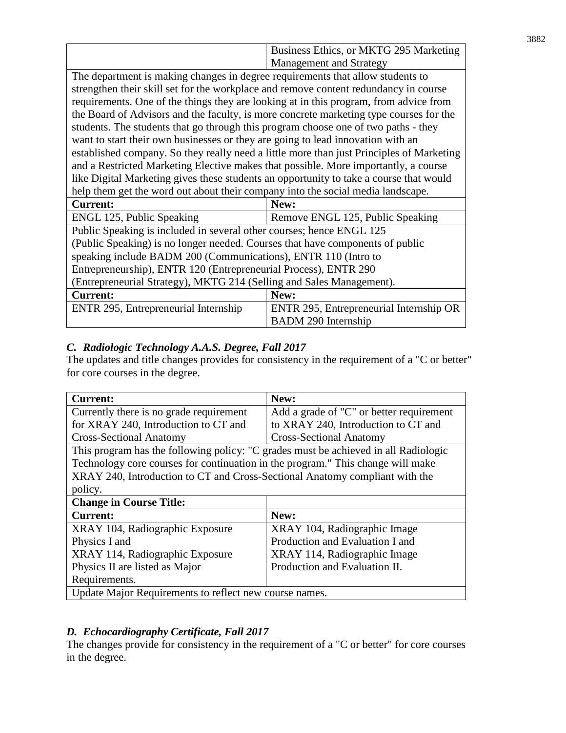|                                                                                          | Business Ethics, or MKTG 295 Marketing  |  |
|------------------------------------------------------------------------------------------|-----------------------------------------|--|
|                                                                                          | <b>Management and Strategy</b>          |  |
| The department is making changes in degree requirements that allow students to           |                                         |  |
| strengthen their skill set for the workplace and remove content redundancy in course     |                                         |  |
| requirements. One of the things they are looking at in this program, from advice from    |                                         |  |
| the Board of Advisors and the faculty, is more concrete marketing type courses for the   |                                         |  |
| students. The students that go through this program choose one of two paths - they       |                                         |  |
| want to start their own businesses or they are going to lead innovation with an          |                                         |  |
| established company. So they really need a little more than just Principles of Marketing |                                         |  |
| and a Restricted Marketing Elective makes that possible. More importantly, a course      |                                         |  |
| like Digital Marketing gives these students an opportunity to take a course that would   |                                         |  |
| help them get the word out about their company into the social media landscape.          |                                         |  |
| <b>Current:</b>                                                                          | New:                                    |  |
| ENGL 125, Public Speaking                                                                | Remove ENGL 125, Public Speaking        |  |
| Public Speaking is included in several other courses; hence ENGL 125                     |                                         |  |
| (Public Speaking) is no longer needed. Courses that have components of public            |                                         |  |
| speaking include BADM 200 (Communications), ENTR 110 (Intro to                           |                                         |  |
| Entrepreneurship), ENTR 120 (Entrepreneurial Process), ENTR 290                          |                                         |  |
| (Entrepreneurial Strategy), MKTG 214 (Selling and Sales Management).                     |                                         |  |
| <b>Current:</b>                                                                          | New:                                    |  |
| ENTR 295, Entrepreneurial Internship                                                     | ENTR 295, Entrepreneurial Internship OR |  |
|                                                                                          | <b>BADM 290 Internship</b>              |  |

# *C. Radiologic Technology A.A.S. Degree, Fall 2017*

The updates and title changes provides for consistency in the requirement of a "C or better" for core courses in the degree.

| <b>Current:</b>                                                                     | New:                                     |
|-------------------------------------------------------------------------------------|------------------------------------------|
| Currently there is no grade requirement                                             | Add a grade of "C" or better requirement |
| for XRAY 240, Introduction to CT and                                                | to XRAY 240, Introduction to CT and      |
| <b>Cross-Sectional Anatomy</b>                                                      | <b>Cross-Sectional Anatomy</b>           |
| This program has the following policy: "C grades must be achieved in all Radiologic |                                          |
| Technology core courses for continuation in the program." This change will make     |                                          |
| XRAY 240, Introduction to CT and Cross-Sectional Anatomy compliant with the         |                                          |
| policy.                                                                             |                                          |
| <b>Change in Course Title:</b>                                                      |                                          |
| <b>Current:</b>                                                                     | New:                                     |
| XRAY 104, Radiographic Exposure                                                     | XRAY 104, Radiographic Image             |
| Physics I and                                                                       | Production and Evaluation I and          |
| XRAY 114, Radiographic Exposure                                                     | XRAY 114, Radiographic Image             |
| Physics II are listed as Major                                                      | Production and Evaluation II.            |
| Requirements.                                                                       |                                          |
| Update Major Requirements to reflect new course names.                              |                                          |

# *D. Echocardiography Certificate, Fall 2017*

The changes provide for consistency in the requirement of a "C or better" for core courses in the degree.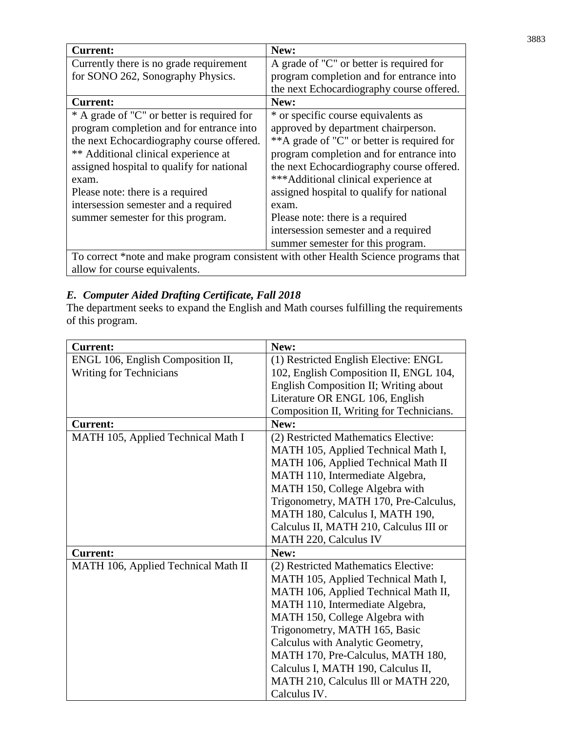| <b>Current:</b>                                                                      | New:                                       |
|--------------------------------------------------------------------------------------|--------------------------------------------|
| Currently there is no grade requirement                                              | A grade of "C" or better is required for   |
| for SONO 262, Sonography Physics.                                                    | program completion and for entrance into   |
|                                                                                      | the next Echocardiography course offered.  |
| <b>Current:</b>                                                                      | New:                                       |
| * A grade of "C" or better is required for                                           | * or specific course equivalents as        |
| program completion and for entrance into                                             | approved by department chairperson.        |
| the next Echocardiography course offered.                                            | **A grade of "C" or better is required for |
| ** Additional clinical experience at                                                 | program completion and for entrance into   |
| assigned hospital to qualify for national                                            | the next Echocardiography course offered.  |
| exam.                                                                                | ***Additional clinical experience at       |
| Please note: there is a required                                                     | assigned hospital to qualify for national  |
| intersession semester and a required                                                 | exam.                                      |
| summer semester for this program.                                                    | Please note: there is a required           |
|                                                                                      | intersession semester and a required       |
|                                                                                      | summer semester for this program.          |
| To correct *note and make program consistent with other Health Science programs that |                                            |

allow for course equivalents.

# *E. Computer Aided Drafting Certificate, Fall 2018*

The department seeks to expand the English and Math courses fulfilling the requirements of this program.

| <b>Current:</b>                     | New:                                     |
|-------------------------------------|------------------------------------------|
| ENGL 106, English Composition II,   | (1) Restricted English Elective: ENGL    |
| <b>Writing for Technicians</b>      | 102, English Composition II, ENGL 104,   |
|                                     | English Composition II; Writing about    |
|                                     | Literature OR ENGL 106, English          |
|                                     | Composition II, Writing for Technicians. |
| <b>Current:</b>                     | New:                                     |
| MATH 105, Applied Technical Math I  | (2) Restricted Mathematics Elective:     |
|                                     | MATH 105, Applied Technical Math I,      |
|                                     | MATH 106, Applied Technical Math II      |
|                                     | MATH 110, Intermediate Algebra,          |
|                                     | MATH 150, College Algebra with           |
|                                     | Trigonometry, MATH 170, Pre-Calculus,    |
|                                     | MATH 180, Calculus I, MATH 190,          |
|                                     | Calculus II, MATH 210, Calculus III or   |
|                                     | MATH 220, Calculus IV                    |
| <b>Current:</b>                     | New:                                     |
| MATH 106, Applied Technical Math II | (2) Restricted Mathematics Elective:     |
|                                     | MATH 105, Applied Technical Math I,      |
|                                     | MATH 106, Applied Technical Math II,     |
|                                     | MATH 110, Intermediate Algebra,          |
|                                     | MATH 150, College Algebra with           |
|                                     | Trigonometry, MATH 165, Basic            |
|                                     | Calculus with Analytic Geometry,         |
|                                     | MATH 170, Pre-Calculus, MATH 180,        |
|                                     | Calculus I, MATH 190, Calculus II,       |
|                                     | MATH 210, Calculus III or MATH 220,      |
|                                     | Calculus IV.                             |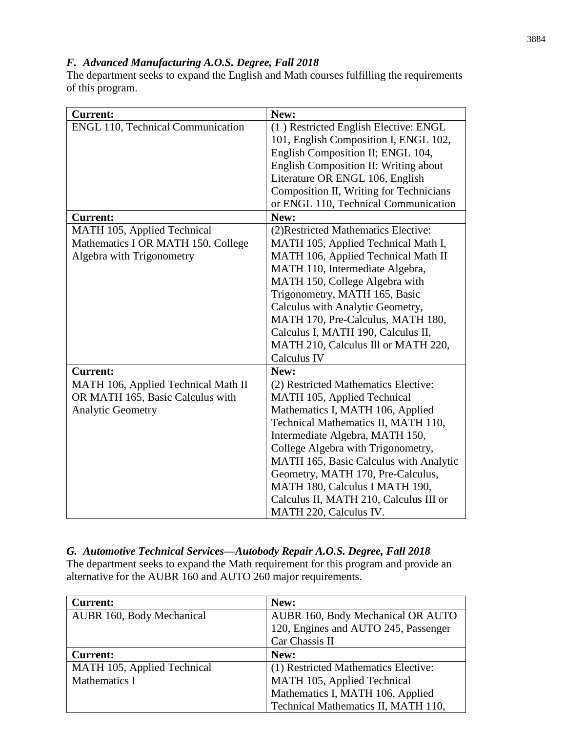# *F. Advanced Manufacturing A.O.S. Degree, Fall 2018*

The department seeks to expand the English and Math courses fulfilling the requirements of this program.

| <b>Current:</b>                          | New:                                    |
|------------------------------------------|-----------------------------------------|
| <b>ENGL 110, Technical Communication</b> | (1) Restricted English Elective: ENGL   |
|                                          | 101, English Composition I, ENGL 102,   |
|                                          | English Composition II; ENGL 104,       |
|                                          | English Composition II: Writing about   |
|                                          | Literature OR ENGL 106, English         |
|                                          | Composition II, Writing for Technicians |
|                                          | or ENGL 110, Technical Communication    |
| Current:                                 | New:                                    |
| MATH 105, Applied Technical              | (2) Restricted Mathematics Elective:    |
| Mathematics I OR MATH 150, College       | MATH 105, Applied Technical Math I,     |
| Algebra with Trigonometry                | MATH 106, Applied Technical Math II     |
|                                          | MATH 110, Intermediate Algebra,         |
|                                          | MATH 150, College Algebra with          |
|                                          | Trigonometry, MATH 165, Basic           |
|                                          | Calculus with Analytic Geometry,        |
|                                          | MATH 170, Pre-Calculus, MATH 180,       |
|                                          | Calculus I, MATH 190, Calculus II,      |
|                                          | MATH 210, Calculus III or MATH 220,     |
|                                          | Calculus IV                             |
| <b>Current:</b>                          | New:                                    |
| MATH 106, Applied Technical Math II      | (2) Restricted Mathematics Elective:    |
| OR MATH 165, Basic Calculus with         | MATH 105, Applied Technical             |
| <b>Analytic Geometry</b>                 | Mathematics I, MATH 106, Applied        |
|                                          | Technical Mathematics II, MATH 110,     |
|                                          | Intermediate Algebra, MATH 150,         |
|                                          | College Algebra with Trigonometry,      |
|                                          | MATH 165, Basic Calculus with Analytic  |
|                                          | Geometry, MATH 170, Pre-Calculus,       |
|                                          | MATH 180, Calculus I MATH 190,          |
|                                          | Calculus II, MATH 210, Calculus III or  |
|                                          | MATH 220, Calculus IV.                  |

# *G. Automotive Technical Services—Autobody Repair A.O.S. Degree, Fall 2018*

The department seeks to expand the Math requirement for this program and provide an alternative for the AUBR 160 and AUTO 260 major requirements.

| <b>Current:</b>             | New:                                 |
|-----------------------------|--------------------------------------|
| AUBR 160, Body Mechanical   | AUBR 160, Body Mechanical OR AUTO    |
|                             | 120, Engines and AUTO 245, Passenger |
|                             | Car Chassis II                       |
| <b>Current:</b>             | New:                                 |
| MATH 105, Applied Technical | (1) Restricted Mathematics Elective: |
| Mathematics I               | MATH 105, Applied Technical          |
|                             | Mathematics I, MATH 106, Applied     |
|                             | Technical Mathematics II, MATH 110,  |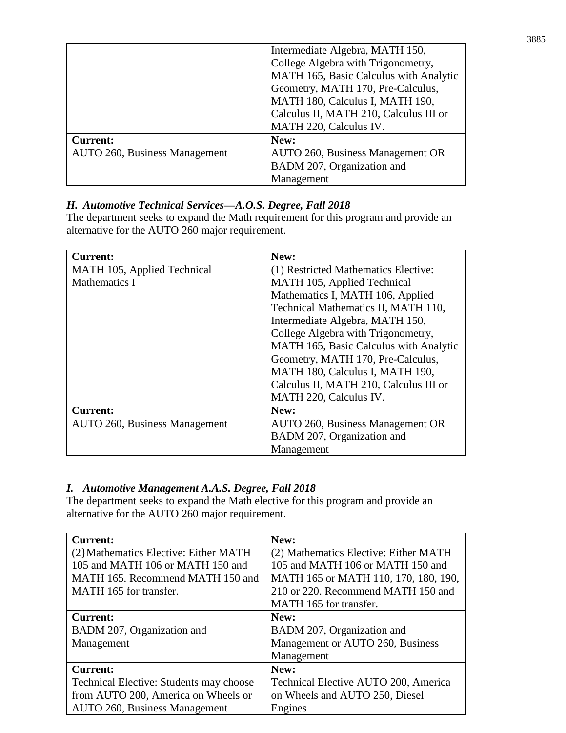|                                      | Intermediate Algebra, MATH 150,<br>College Algebra with Trigonometry,       |
|--------------------------------------|-----------------------------------------------------------------------------|
|                                      | MATH 165, Basic Calculus with Analytic<br>Geometry, MATH 170, Pre-Calculus, |
|                                      | MATH 180, Calculus I, MATH 190,                                             |
|                                      | Calculus II, MATH 210, Calculus III or                                      |
|                                      | MATH 220, Calculus IV.                                                      |
| <b>Current:</b>                      | New:                                                                        |
| <b>AUTO 260, Business Management</b> | AUTO 260, Business Management OR                                            |
|                                      | BADM 207, Organization and                                                  |
|                                      | Management                                                                  |

# *H. Automotive Technical Services—A.O.S. Degree, Fall 2018*

The department seeks to expand the Math requirement for this program and provide an alternative for the AUTO 260 major requirement.

| <b>Current:</b>                      | New:                                   |
|--------------------------------------|----------------------------------------|
| MATH 105, Applied Technical          | (1) Restricted Mathematics Elective:   |
| Mathematics I                        | MATH 105, Applied Technical            |
|                                      | Mathematics I, MATH 106, Applied       |
|                                      | Technical Mathematics II, MATH 110,    |
|                                      | Intermediate Algebra, MATH 150,        |
|                                      | College Algebra with Trigonometry,     |
|                                      | MATH 165, Basic Calculus with Analytic |
|                                      | Geometry, MATH 170, Pre-Calculus,      |
|                                      | MATH 180, Calculus I, MATH 190,        |
|                                      | Calculus II, MATH 210, Calculus III or |
|                                      | MATH 220, Calculus IV.                 |
| <b>Current:</b>                      | New:                                   |
| <b>AUTO 260, Business Management</b> | AUTO 260, Business Management OR       |
|                                      | BADM 207, Organization and             |
|                                      | Management                             |

# *I. Automotive Management A.A.S. Degree, Fall 2018*

The department seeks to expand the Math elective for this program and provide an alternative for the AUTO 260 major requirement.

| <b>Current:</b>                         | New:                                  |
|-----------------------------------------|---------------------------------------|
| (2}Mathematics Elective: Either MATH    | (2) Mathematics Elective: Either MATH |
| 105 and MATH 106 or MATH 150 and        | 105 and MATH 106 or MATH 150 and      |
| MATH 165. Recommend MATH 150 and        | MATH 165 or MATH 110, 170, 180, 190,  |
| MATH 165 for transfer.                  | 210 or 220. Recommend MATH 150 and    |
|                                         | MATH 165 for transfer.                |
| <b>Current:</b>                         | New:                                  |
| BADM 207, Organization and              | BADM 207, Organization and            |
| Management                              | Management or AUTO 260, Business      |
|                                         | Management                            |
| <b>Current:</b>                         | New:                                  |
| Technical Elective: Students may choose | Technical Elective AUTO 200, America  |
| from AUTO 200, America on Wheels or     | on Wheels and AUTO 250, Diesel        |
| <b>AUTO 260, Business Management</b>    | Engines                               |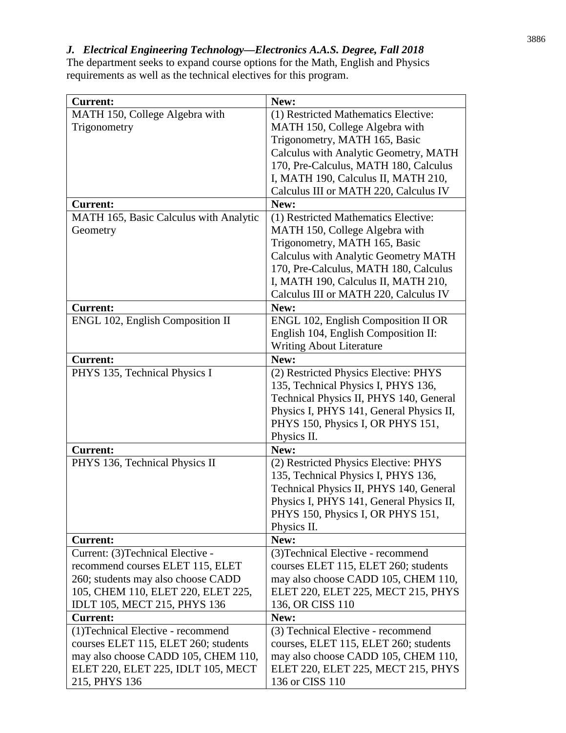*J. Electrical Engineering Technology—Electronics A.A.S. Degree, Fall 2018*

The department seeks to expand course options for the Math, English and Physics requirements as well as the technical electives for this program.

| <b>Current:</b>                        | New:                                       |
|----------------------------------------|--------------------------------------------|
| MATH 150, College Algebra with         | (1) Restricted Mathematics Elective:       |
| Trigonometry                           | MATH 150, College Algebra with             |
|                                        | Trigonometry, MATH 165, Basic              |
|                                        | Calculus with Analytic Geometry, MATH      |
|                                        | 170, Pre-Calculus, MATH 180, Calculus      |
|                                        | I, MATH 190, Calculus II, MATH 210,        |
|                                        | Calculus III or MATH 220, Calculus IV      |
| <b>Current:</b>                        | New:                                       |
| MATH 165, Basic Calculus with Analytic | (1) Restricted Mathematics Elective:       |
| Geometry                               | MATH 150, College Algebra with             |
|                                        | Trigonometry, MATH 165, Basic              |
|                                        | Calculus with Analytic Geometry MATH       |
|                                        | 170, Pre-Calculus, MATH 180, Calculus      |
|                                        | I, MATH 190, Calculus II, MATH 210,        |
|                                        | Calculus III or MATH 220, Calculus IV      |
| <b>Current:</b>                        | New:                                       |
| ENGL 102, English Composition II       | <b>ENGL 102, English Composition II OR</b> |
|                                        | English 104, English Composition II:       |
|                                        | Writing About Literature                   |
| <b>Current:</b>                        | New:                                       |
| PHYS 135, Technical Physics I          | (2) Restricted Physics Elective: PHYS      |
|                                        | 135, Technical Physics I, PHYS 136,        |
|                                        | Technical Physics II, PHYS 140, General    |
|                                        | Physics I, PHYS 141, General Physics II,   |
|                                        | PHYS 150, Physics I, OR PHYS 151,          |
|                                        | Physics II.                                |
| <b>Current:</b>                        | New:                                       |
| PHYS 136, Technical Physics II         | (2) Restricted Physics Elective: PHYS      |
|                                        | 135, Technical Physics I, PHYS 136,        |
|                                        | Technical Physics II, PHYS 140, General    |
|                                        | Physics I, PHYS 141, General Physics II,   |
|                                        | PHYS 150, Physics I, OR PHYS 151,          |
|                                        | Physics II.                                |
| <b>Current:</b>                        | New:                                       |
| Current: (3) Technical Elective -      | (3) Technical Elective - recommend         |
| recommend courses ELET 115, ELET       | courses ELET 115, ELET 260; students       |
| 260; students may also choose CADD     | may also choose CADD 105, CHEM 110,        |
| 105, CHEM 110, ELET 220, ELET 225,     | ELET 220, ELET 225, MECT 215, PHYS         |
| IDLT 105, MECT 215, PHYS 136           | 136, OR CISS 110                           |
| <b>Current:</b>                        | New:                                       |
| (1) Technical Elective - recommend     | (3) Technical Elective - recommend         |
| courses ELET 115, ELET 260; students   | courses, ELET 115, ELET 260; students      |
| may also choose CADD 105, CHEM 110,    | may also choose CADD 105, CHEM 110,        |
| ELET 220, ELET 225, IDLT 105, MECT     | ELET 220, ELET 225, MECT 215, PHYS         |
| 215, PHYS 136                          | 136 or CISS 110                            |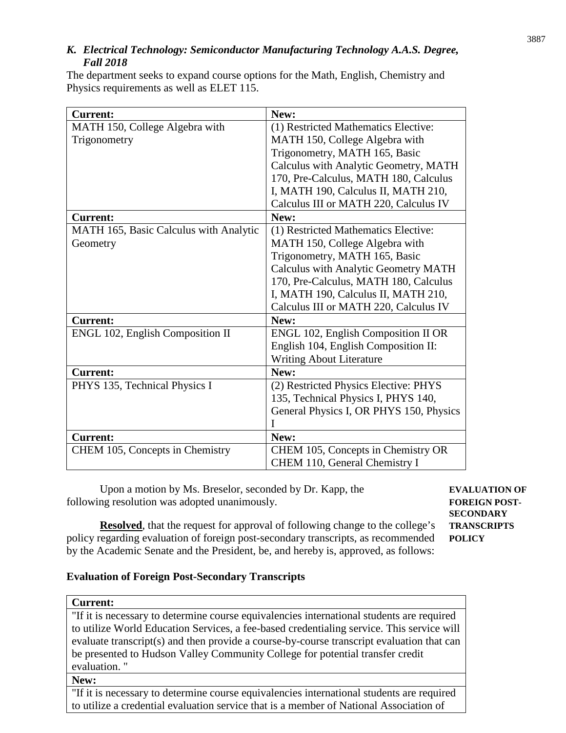# *K. Electrical Technology: Semiconductor Manufacturing Technology A.A.S. Degree, Fall 2018*

The department seeks to expand course options for the Math, English, Chemistry and Physics requirements as well as ELET 115.

| <b>Current:</b>                        | New:                                        |
|----------------------------------------|---------------------------------------------|
| MATH 150, College Algebra with         | (1) Restricted Mathematics Elective:        |
| Trigonometry                           | MATH 150, College Algebra with              |
|                                        | Trigonometry, MATH 165, Basic               |
|                                        | Calculus with Analytic Geometry, MATH       |
|                                        | 170, Pre-Calculus, MATH 180, Calculus       |
|                                        | I, MATH 190, Calculus II, MATH 210,         |
|                                        | Calculus III or MATH 220, Calculus IV       |
| <b>Current:</b>                        | New:                                        |
| MATH 165, Basic Calculus with Analytic | (1) Restricted Mathematics Elective:        |
| Geometry                               | MATH 150, College Algebra with              |
|                                        | Trigonometry, MATH 165, Basic               |
|                                        | <b>Calculus with Analytic Geometry MATH</b> |
|                                        | 170, Pre-Calculus, MATH 180, Calculus       |
|                                        | I, MATH 190, Calculus II, MATH 210,         |
|                                        | Calculus III or MATH 220, Calculus IV       |
| <b>Current:</b>                        | New:                                        |
| ENGL 102, English Composition II       | ENGL 102, English Composition II OR         |
|                                        | English 104, English Composition II:        |
|                                        | <b>Writing About Literature</b>             |
| <b>Current:</b>                        | New:                                        |
| PHYS 135, Technical Physics I          | (2) Restricted Physics Elective: PHYS       |
|                                        | 135, Technical Physics I, PHYS 140,         |
|                                        | General Physics I, OR PHYS 150, Physics     |
|                                        |                                             |
| <b>Current:</b>                        | New:                                        |
| CHEM 105, Concepts in Chemistry        | CHEM 105, Concepts in Chemistry OR          |
|                                        | CHEM 110, General Chemistry I               |

Upon a motion by Ms. Breselor, seconded by Dr. Kapp, the **EVALUATION OF** following resolution was adopted unanimously. **FOREIGN POST-**

**SECONDARY**

**Resolved**, that the request for approval of following change to the college's **TRANSCRIPTS** policy regarding evaluation of foreign post-secondary transcripts, as recommended **POLICY** by the Academic Senate and the President, be, and hereby is, approved, as follows:

#### **Evaluation of Foreign Post-Secondary Transcripts**

#### **Current:**

"If it is necessary to determine course equivalencies international students are required to utilize World Education Services, a fee-based credentialing service. This service will evaluate transcript(s) and then provide a course-by-course transcript evaluation that can be presented to Hudson Valley Community College for potential transfer credit evaluation. "

#### **New:**

"If it is necessary to determine course equivalencies international students are required to utilize a credential evaluation service that is a member of National Association of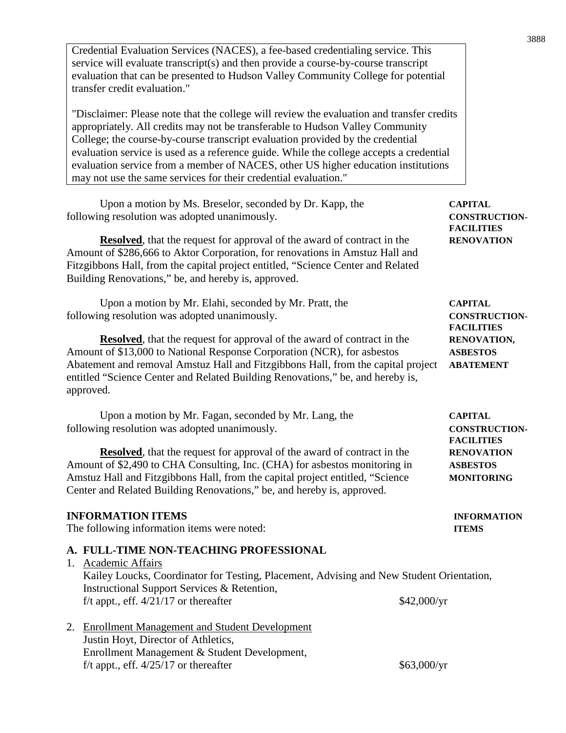Credential Evaluation Services (NACES), a fee-based credentialing service. This service will evaluate transcript(s) and then provide a course-by-course transcript evaluation that can be presented to Hudson Valley Community College for potential transfer credit evaluation." "Disclaimer: Please note that the college will review the evaluation and transfer credits appropriately. All credits may not be transferable to Hudson Valley Community College; the course-by-course transcript evaluation provided by the credential evaluation service is used as a reference guide. While the college accepts a credential evaluation service from a member of NACES, other US higher education institutions may not use the same services for their credential evaluation." Upon a motion by Ms. Breselor, seconded by Dr. Kapp, the **CAPITAL** following resolution was adopted unanimously. **CONSTRUCTION-FACILITIES Resolved**, that the request for approval of the award of contract in the **RENOVATION** Amount of \$286,666 to Aktor Corporation, for renovations in Amstuz Hall and Fitzgibbons Hall, from the capital project entitled, "Science Center and Related Building Renovations," be, and hereby is, approved. Upon a motion by Mr. Elahi, seconded by Mr. Pratt, the **CAPITAL** following resolution was adopted unanimously. **CONSTRUCTION-FACILITIES Resolved**, that the request for approval of the award of contract in the **RENOVATION**, Amount of \$13,000 to National Response Corporation (NCR), for asbestos **ASBESTOS** Abatement and removal Amstuz Hall and Fitzgibbons Hall, from the capital project **ABATEMENT** entitled "Science Center and Related Building Renovations," be, and hereby is, approved. Upon a motion by Mr. Fagan, seconded by Mr. Lang, the **CAPITAL** following resolution was adopted unanimously. **CONSTRUCTION-FACILITIES Resolved**, that the request for approval of the award of contract in the **RENOVATION** Amount of \$2,490 to CHA Consulting, Inc. (CHA) for asbestos monitoring in **ASBESTOS** Amstuz Hall and Fitzgibbons Hall, from the capital project entitled, "Science **MONITORING** Center and Related Building Renovations," be, and hereby is, approved. **INFORMATION ITEMS INFORMATION** The following information items were noted: **ITEMS A. FULL-TIME NON-TEACHING PROFESSIONAL** 1. Academic Affairs Kailey Loucks, Coordinator for Testing, Placement, Advising and New Student Orientation, Instructional Support Services & Retention, f/t appt., eff.  $4/21/17$  or thereafter \$42,000/yr 2. Enrollment Management and Student Development Justin Hoyt, Director of Athletics, Enrollment Management & Student Development, f/t appt., eff.  $4/25/17$  or thereafter \$63,000/yr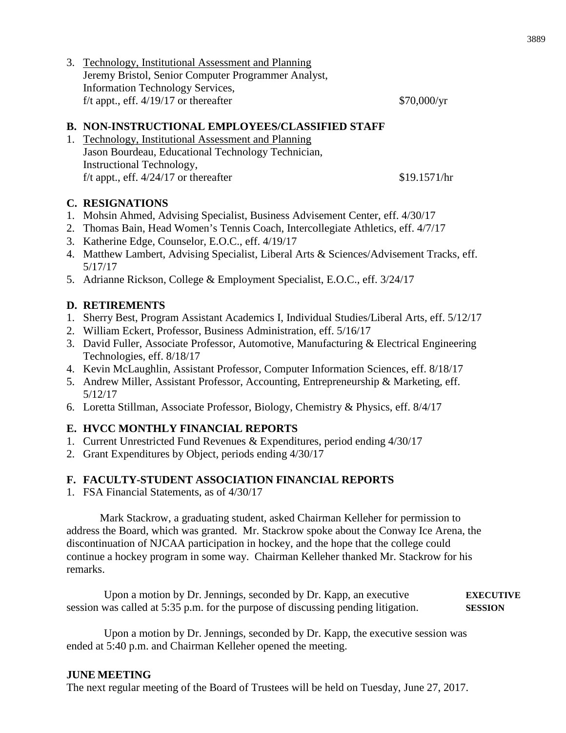3. Technology, Institutional Assessment and Planning Jeremy Bristol, Senior Computer Programmer Analyst, Information Technology Services, f/t appt., eff.  $4/19/17$  or thereafter  $$70,000/\text{yr}$ 

#### **B. NON-INSTRUCTIONAL EMPLOYEES/CLASSIFIED STAFF**

1. Technology, Institutional Assessment and Planning Jason Bourdeau, Educational Technology Technician, Instructional Technology, f/t appt., eff.  $4/24/17$  or thereafter \$19.1571/hr

#### **C. RESIGNATIONS**

- 1. Mohsin Ahmed, Advising Specialist, Business Advisement Center, eff. 4/30/17
- 2. Thomas Bain, Head Women's Tennis Coach, Intercollegiate Athletics, eff. 4/7/17
- 3. Katherine Edge, Counselor, E.O.C., eff. 4/19/17
- 4. Matthew Lambert, Advising Specialist, Liberal Arts & Sciences/Advisement Tracks, eff. 5/17/17
- 5. Adrianne Rickson, College & Employment Specialist, E.O.C., eff. 3/24/17

#### **D. RETIREMENTS**

- 1. Sherry Best, Program Assistant Academics I, Individual Studies/Liberal Arts, eff. 5/12/17
- 2. William Eckert, Professor, Business Administration, eff. 5/16/17
- 3. David Fuller, Associate Professor, Automotive, Manufacturing & Electrical Engineering Technologies, eff. 8/18/17
- 4. Kevin McLaughlin, Assistant Professor, Computer Information Sciences, eff. 8/18/17
- 5. Andrew Miller, Assistant Professor, Accounting, Entrepreneurship & Marketing, eff. 5/12/17
- 6. Loretta Stillman, Associate Professor, Biology, Chemistry & Physics, eff. 8/4/17

# **E. HVCC MONTHLY FINANCIAL REPORTS**

- 1. Current Unrestricted Fund Revenues & Expenditures, period ending 4/30/17
- 2. Grant Expenditures by Object, periods ending 4/30/17

#### **F. FACULTY-STUDENT ASSOCIATION FINANCIAL REPORTS**

1. FSA Financial Statements, as of 4/30/17

Mark Stackrow, a graduating student, asked Chairman Kelleher for permission to address the Board, which was granted. Mr. Stackrow spoke about the Conway Ice Arena, the discontinuation of NJCAA participation in hockey, and the hope that the college could continue a hockey program in some way. Chairman Kelleher thanked Mr. Stackrow for his remarks.

Upon a motion by Dr. Jennings, seconded by Dr. Kapp, an executive **EXECUTIVE**  session was called at 5:35 p.m. for the purpose of discussing pending litigation. **SESSION**

Upon a motion by Dr. Jennings, seconded by Dr. Kapp, the executive session was ended at 5:40 p.m. and Chairman Kelleher opened the meeting.

#### **JUNE MEETING**

The next regular meeting of the Board of Trustees will be held on Tuesday, June 27, 2017.